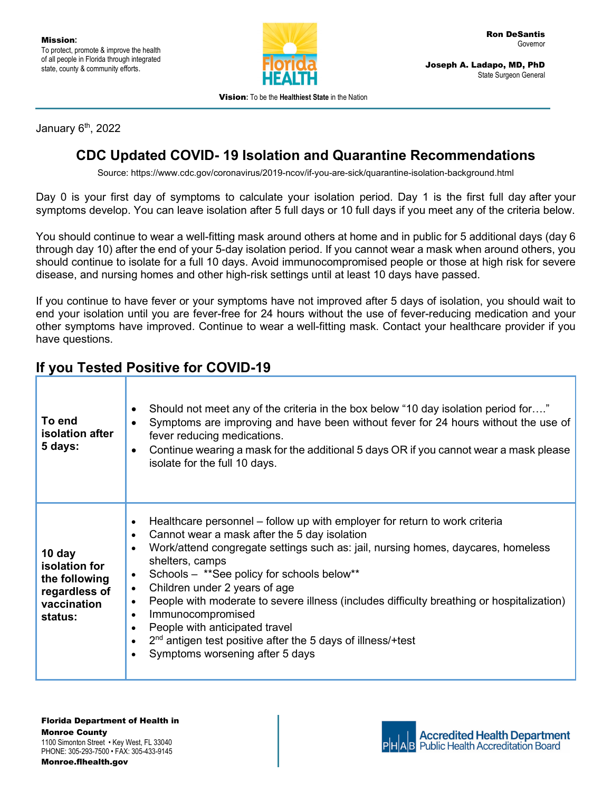

Joseph A. Ladapo, MD, PhD State Surgeon General

Vision**:** To be the **Healthiest State** in the Nation

January 6<sup>th</sup>, 2022

## **CDC Updated COVID- 19 Isolation and Quarantine Recommendations**

Source: https://www.cdc.gov/coronavirus/2019-ncov/if-you-are-sick/quarantine-isolation-background.html

Day 0 is your first day of symptoms to calculate your isolation period. Day 1 is the first full day after your symptoms develop. You can leave isolation after 5 full days or 10 full days if you meet any of the criteria below.

You should continue to wear a [well-fitting mask](https://www.cdc.gov/coronavirus/2019-ncov/your-health/effective-masks.html) around others at home and in public for 5 additional days (day 6 through day 10) after the end of your 5-day isolation period. If you cannot wear a mask when around others, you should continue to isolate for a full 10 days. Avoid [immunocompromised people or](https://www.cdc.gov/coronavirus/2019-ncov/need-extra-precautions/people-with-medical-conditions.html) those at high risk for severe [disease,](https://www.cdc.gov/coronavirus/2019-ncov/need-extra-precautions/people-with-medical-conditions.html) and nursing homes and other high-risk settings until at least 10 days have passed.

If you continue to have fever or your symptoms have not improved after 5 days of isolation, you should wait to end your isolation until you are fever-free for 24 hours without the use of fever-reducing medication and your other symptoms have improved. Continue to wear a [well-fitting mask.](https://www.cdc.gov/coronavirus/2019-ncov/your-health/effective-masks.html) Contact your healthcare provider if you have questions.

## **If you Tested Positive for COVID-19**

| To end<br><b>isolation</b> after<br>5 days:                                         | Should not meet any of the criteria in the box below "10 day isolation period for"<br>$\bullet$<br>Symptoms are improving and have been without fever for 24 hours without the use of<br>$\bullet$<br>fever reducing medications.<br>Continue wearing a mask for the additional 5 days OR if you cannot wear a mask please<br>$\bullet$<br>isolate for the full 10 days.                                                                                                                                                                                                                                                                                                                       |
|-------------------------------------------------------------------------------------|------------------------------------------------------------------------------------------------------------------------------------------------------------------------------------------------------------------------------------------------------------------------------------------------------------------------------------------------------------------------------------------------------------------------------------------------------------------------------------------------------------------------------------------------------------------------------------------------------------------------------------------------------------------------------------------------|
| 10 day<br>isolation for<br>the following<br>regardless of<br>vaccination<br>status: | Healthcare personnel – follow up with employer for return to work criteria<br>$\bullet$<br>Cannot wear a mask after the 5 day isolation<br>$\bullet$<br>Work/attend congregate settings such as: jail, nursing homes, daycares, homeless<br>$\bullet$<br>shelters, camps<br>Schools - ** See policy for schools below**<br>$\bullet$<br>Children under 2 years of age<br>$\bullet$<br>People with moderate to severe illness (includes difficulty breathing or hospitalization)<br>$\bullet$<br>Immunocompromised<br>$\bullet$<br>People with anticipated travel<br>$\bullet$<br>$2nd$ antigen test positive after the 5 days of illness/+test<br>$\bullet$<br>Symptoms worsening after 5 days |